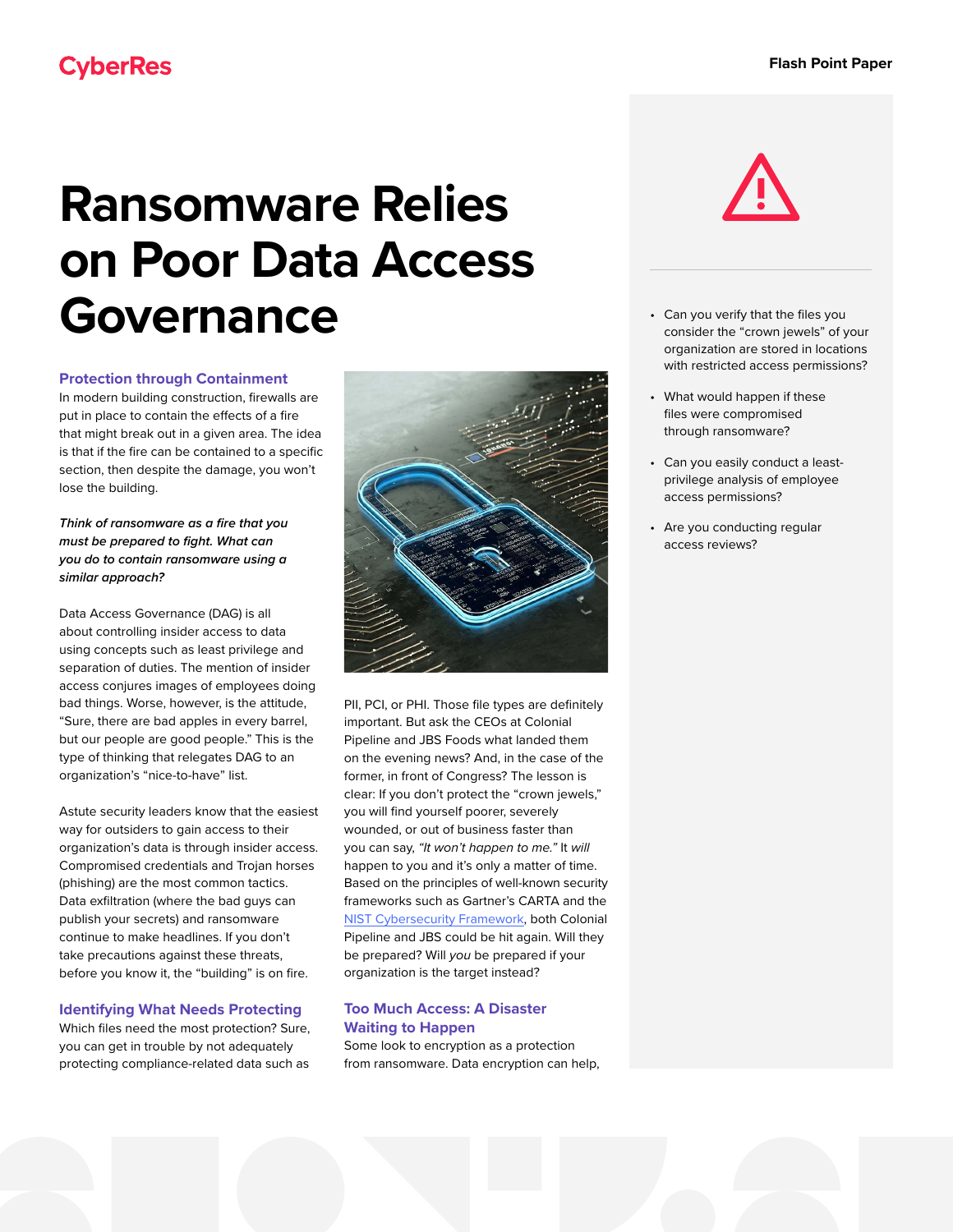# **Ransomware Relies on Poor Data Access Governance**

#### **Protection through Containment**

In modern building construction, firewalls are put in place to contain the effects of a fire that might break out in a given area. The idea is that if the fire can be contained to a specific section, then despite the damage, you won't lose the building.

### *Think of ransomware as a fire that you must be prepared to fight. What can you do to contain ransomware using a similar approach?*

Data Access Governance (DAG) is all about controlling insider access to data using concepts such as least privilege and separation of duties. The mention of insider access conjures images of employees doing bad things. Worse, however, is the attitude, "Sure, there are bad apples in every barrel, but our people are good people." This is the type of thinking that relegates DAG to an organization's "nice-to-have" list.

Astute security leaders know that the easiest way for outsiders to gain access to their organization's data is through insider access. Compromised credentials and Trojan horses (phishing) are the most common tactics. Data exfiltration (where the bad guys can publish your secrets) and ransomware continue to make headlines. If you don't take precautions against these threats, before you know it, the "building" is on fire.

## **Identifying What Needs Protecting**

Which files need the most protection? Sure, you can get in trouble by not adequately protecting compliance-related data such as



PII, PCI, or PHI. Those file types are definitely important. But ask the CEOs at Colonial Pipeline and JBS Foods what landed them on the evening news? And, in the case of the former, in front of Congress? The lesson is clear: If you don't protect the "crown jewels," you will find yourself poorer, severely wounded, or out of business faster than you can say, *"It won't happen to me."* It *will* happen to you and it's only a matter of time. Based on the principles of well-known security frameworks such as Gartner's CARTA and the [NIST Cybersecurity Framework,](https://www.nist.gov/sites/default/files/images/2018/05/01/cybersecurity-flyer-graphic.png) both Colonial Pipeline and JBS could be hit again. Will they be prepared? Will *you* be prepared if your organization is the target instead?

## **Too Much Access: A Disaster Waiting to Happen**

Some look to encryption as a protection from ransomware. Data encryption can help,



- Can you verify that the files you consider the "crown jewels" of your organization are stored in locations with restricted access permissions?
- What would happen if these files were compromised through ransomware?
- Can you easily conduct a leastprivilege analysis of employee access permissions?
- Are you conducting regular access reviews?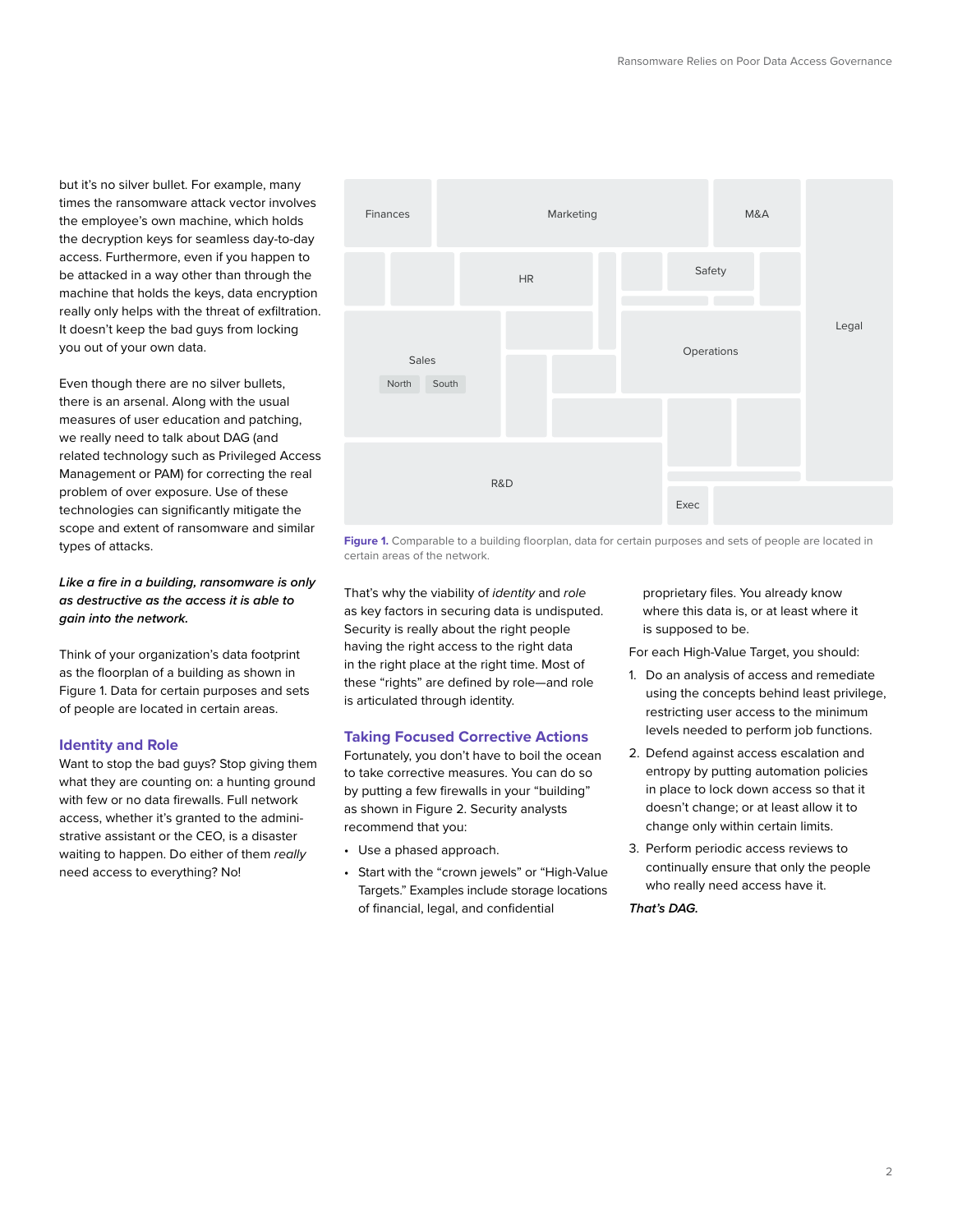but it's no silver bullet. For example, many times the ransomware attack vector involves the employee's own machine, which holds the decryption keys for seamless day-to-day access. Furthermore, even if you happen to be attacked in a way other than through the machine that holds the keys, data encryption really only helps with the threat of exfiltration. It doesn't keep the bad guys from locking you out of your own data.

Even though there are no silver bullets, there is an arsenal. Along with the usual measures of user education and patching, we really need to talk about DAG (and related technology such as Privileged Access Management or PAM) for correcting the real problem of over exposure. Use of these technologies can significantly mitigate the scope and extent of ransomware and similar types of attacks.

## *Like a fire in a building, ransomware is only as destructive as the access it is able to gain into the network.*

Think of your organization's data footprint as the floorplan of a building as shown in Figure 1. Data for certain purposes and sets of people are located in certain areas.

#### **Identity and Role**

Want to stop the bad guys? Stop giving them what they are counting on: a hunting ground with few or no data firewalls. Full network access, whether it's granted to the administrative assistant or the CEO, is a disaster waiting to happen. Do either of them *really* need access to everything? No!



Figure 1. Comparable to a building floorplan, data for certain purposes and sets of people are located in certain areas of the network.

That's why the viability of *identity* and *role* as key factors in securing data is undisputed. Security is really about the right people having the right access to the right data in the right place at the right time. Most of these "rights" are defined by role—and role is articulated through identity.

#### **Taking Focused Corrective Actions**

Fortunately, you don't have to boil the ocean to take corrective measures. You can do so by putting a few firewalls in your "building" as shown [in Figure 2](#page-2-0). Security analysts recommend that you:

- Use a phased approach.
- Start with the "crown jewels" or "High-Value Targets." Examples include storage locations of financial, legal, and confidential

proprietary files. You already know where this data is, or at least where it is supposed to be.

For each High-Value Target, you should:

- 1. Do an analysis of access and remediate using the concepts behind least privilege, restricting user access to the minimum levels needed to perform job functions.
- 2. Defend against access escalation and entropy by putting automation policies in place to lock down access so that it doesn't change; or at least allow it to change only within certain limits.
- 3. Perform periodic access reviews to continually ensure that only the people who really need access have it.

# *That's DAG.*